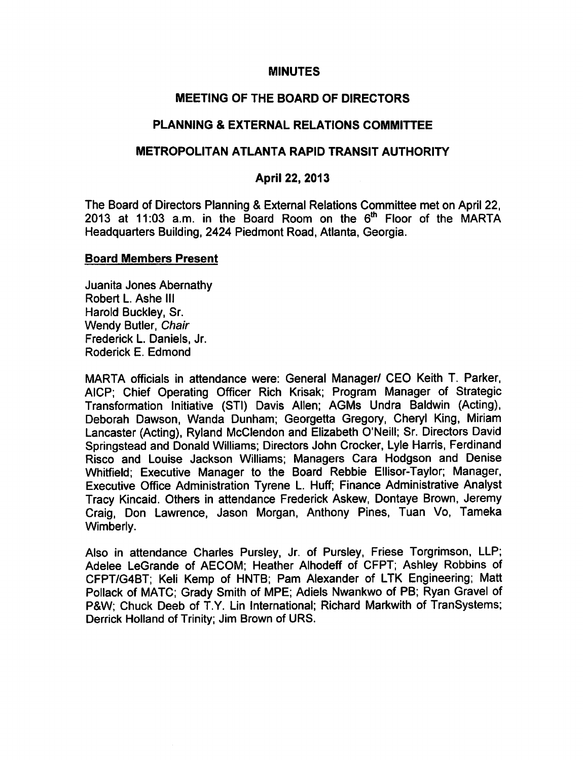## MINUTES

# MEETING OF THE BOARD OF DIRECTORS

# PLANNING & EXTERNAL RELATIONS COMMITTEE

### METROPOLITAN ATLANTA RAPID TRANSIT AUTHORITY

# April 22, 2013

The Board of Directors Planning & External Relations Committee met on April 22, 2013 at 11:03 a.m. in the Board Room on the  $6<sup>th</sup>$  Floor of the MARTA Headquarters Building, 2424 Piedmont Road, Atlanta, Georgia.

#### Board Members Present

Juanita Jones Abernathy Robert L. Ashe III Harold Buckley, Sr. Wendy Butler, Chair Frederick L. Daniels, Jr. Roderick E. Edmond

MARTA officials in attendance were: General Manager/ CEO Keith T. Parker, AICP; Chief Operating Officer Rich Krisak; Program Manager of Strategic Transformation Initiative (STI) Davis Allen; AGMs Undra Baldwin (Acting), Deborah Dawson, Wanda Dunham; Georgetta Gregory, Cheryl King, Miriam Lancaster (Acting), Ryland McClendon and Elizabeth O'Neill; Sr. Directors David Springstead and Donald Williams; Directors John Crocker, Lyle Harris, Ferdinand Risco and Louise Jackson Williams; Managers Cara Hodgson and Denise Whitfield; Executive Manager to the Board Rebbie Ellisor-Taylor; Manager, Executive Office Administration Tyrene L. Huff; Finance Administrative Analyst Tracy Kincaid. Others in attendance Frederick Askew, Dontaye Brown, Jeremy Craig, Don Lawrence, Jason Morgan, Anthony Pines, Tuan Vo, Tameka Wimberly.

Also in attendance Charles Pursley, Jr. of Pursley, Friese Torgrimson, LLP; Adelee LeGrande of AECOM; Heather Alhodeff of CFPT; Ashley Robbins of CFPT/G4BT; Keli Kemp of HNTB; Pam Alexander of LTK Engineering; Matt Pollack of MATC; Grady Smith of MPE; Adiels Nwankwo of PB; Ryan Gravel of P&W; Chuck Deeb of T.Y. Lin International; Richard Markwith of TranSystems; Derrick Holland of Trinity; Jim Brown of URS.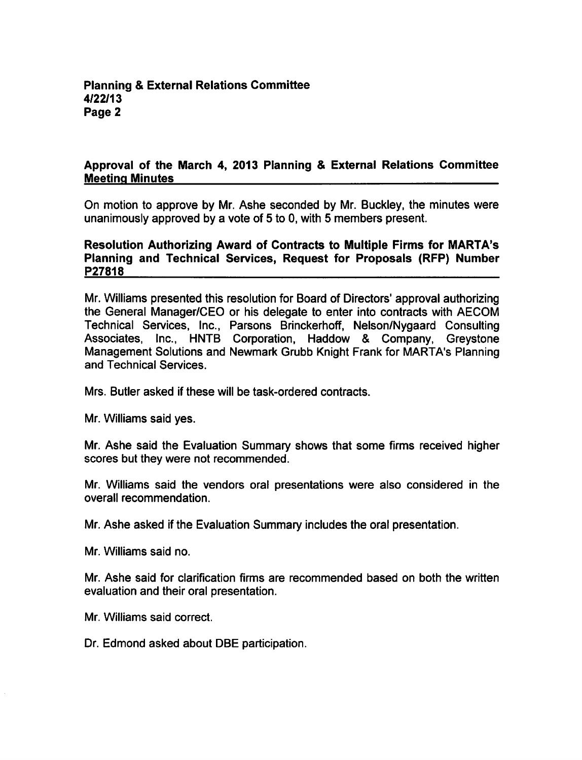# Approval of the March 4, 2013 Planning & External Relations Committee Meeting Minutes

On motion to approve by Mr. Ashe seconded by Mr. Buckley, the minutes were unanimously approved by a vote of 5 to 0, with 5 members present.

# Resolution Authorizing Award of Contracts to Multiple Firms for MARTA's Planning and Technical Services, Request for Proposals (RFP) Number P27818

Mr. Williams presented this resolution for Board of Directors' approval authorizing the General Manager/CEO or his delegate to enter into contracts with AECOM Technical Services, Inc., Parsons Brinckerhoff, Nelson/Nygaard Consulting Associates, Inc., HNTB Corporation, Haddow & Company, Greystone Management Solutions and Newmark Grubb Knight Frank for MARTA's Planning and Technical Services.

Mrs. Butler asked if these will be task-ordered contracts.

Mr. Williams said yes.

Mr. Ashe said the Evaluation Summary shows that some firms received higher scores but they were not recommended.

Mr. Williams said the vendors oral presentations were also considered in the overall recommendation.

Mr. Ashe asked if the Evaluation Summary includes the oral presentation.

Mr. Williams said no.

Mr. Ashe said for clarification firms are recommended based on both the written evaluation and their oral presentation.

Mr. Williams said correct.

Dr. Edmond asked about DBE participation.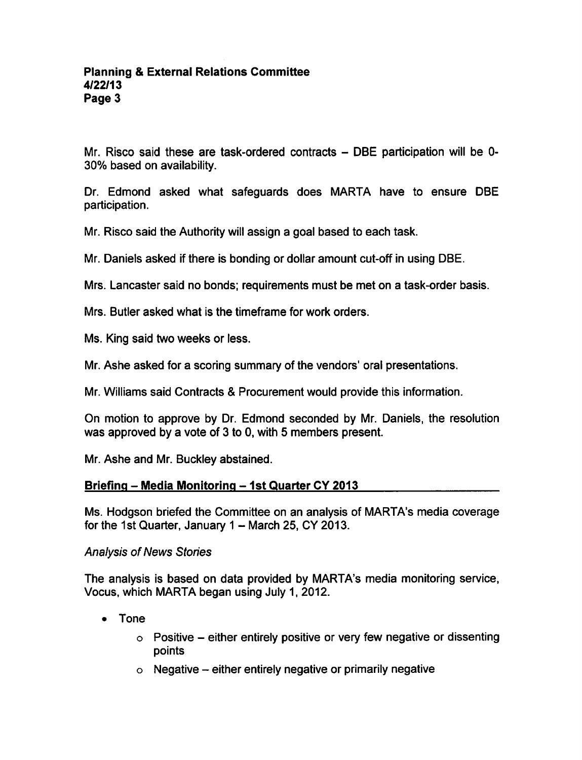Mr. Risco said these are task-ordered contracts  $-$  DBE participation will be 0-30% based on availability.

Dr. Edmond asked what safeguards does MARTA have to ensure DBE participation.

Mr. Risco said the Authority will assign a goal based to each task.

Mr. Daniels asked if there is bonding or dollar amount cut-off in using DBE.

Mrs. Lancaster said no bonds: requirements must be met on a task-order basis.

Mrs. Butler asked what is the timeframe for work orders.

Ms. King said two weeks or less.

Mr. Ashe asked for a scoring summary of the vendors' oral presentations.

Mr. Williams said Contracts & Procurement would provide this information.

On motion to approve by Dr. Edmond seconded by Mr. Daniels, the resolution was approved by a vote of  $3$  to 0, with 5 members present.

Mr. Ashe and Mr. Buckley abstained.

# Briefing  $-$  Media Monitoring  $-$  1st Quarter CY 2013

Ms. Hodgson briefed the Committee on an analysis of MARTA's media coverage for the 1st Quarter, January  $1 -$  March 25, CY 2013.

# Analysis of News Stories

The analysis is based on data provided by MARTA's media monitoring service, Vocus, which MARTA began using July 1, 2012.

- Tone
	- $\circ$  Positive either entirely positive or very few negative or dissenting points
	- $\circ$  Negative either entirely negative or primarily negative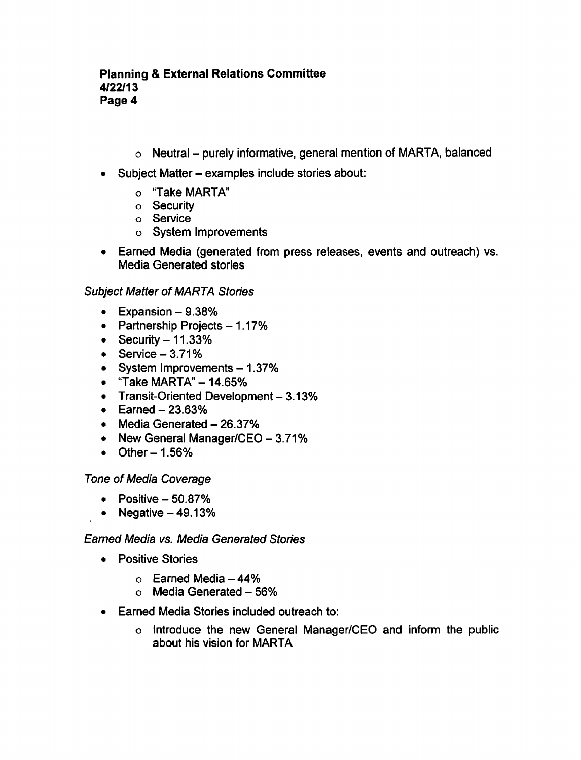- $\circ$  Neutral purely informative, general mention of MARTA, balanced
- Subject Matter examples include stories about:
	- "Take MARTA"
	- o Security
	- Service
	- System Improvements
- Earned Media (generated from press releases, events and outreach) vs. Media Generated stories

# Subject Matter of MARTA Stories

- $\bullet$  Expansion  $-9.38\%$
- Partnership Projects  $-1.17%$
- Security  $-11.33%$
- $\bullet$  Service  $-3.71\%$
- System Improvements  $-1.37%$
- $\bullet$  "Take MARTA" 14.65%
- Transit-Oriented Development  $-3.13%$
- $\bullet$  Earned  $-23.63\%$
- $\bullet$  Media Generated  $-26.37\%$
- New General Manager/CEO  $-3.71\%$
- $\bullet$  Other  $-1.56\%$

# Tone of Media Coverage

- $\bullet$  Positive  $-50.87\%$
- Negative  $-49.13%$

# Earned Media vs. Media Generated Stories

- Positive Stories
	- $\circ$  Earned Media 44%
	- $\circ$  Media Generated 56%
- Earned Media Stories included outreach to:
	- o Introduce the new General Manager/CEO and inform the public about his vision for MARTA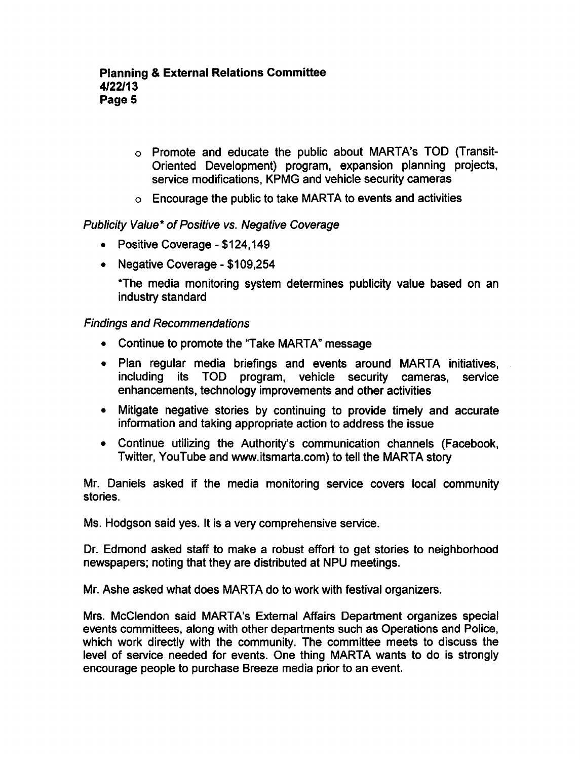- Promote and educate the public about MARTA's TOD (Transit-Oriented Development) program, expansion planning projects, service modifications, KPMG and vehicle security cameras
- $\circ$  Encourage the public to take MARTA to events and activities

# Publicity Value\* of Positive vs. Negative Coverage

- Positive Coverage \$124,149
- Negative Coverage \$109,254

The media monitoring system determines publicity value based on an industry standard

### Findings and Recommendations

- Continue to promote the "Take MARTA" message
- Plan regular media briefings and events around MARTA initiatives, including its TOD program, vehicle security cameras, service enhancements, technology improvements and other activities
- Mitigate negative stories by continuing to provide timely and accurate information and taking appropriate action to address the issue
- Continue utilizing the Authority's communication channels (Facebook, Twitter, YouTube and www.itsmarta.com) to tell the MARTA story

Mr. Daniels asked if the media monitoring service covers local community stories.

Ms. Hodgson said yes. It is a very comprehensive service.

Dr. Edmond asked staff to make a robust effort to get stories to neighborhood newspapers; noting that they are distributed at NPU meetings.

Mr. Ashe asked what does MARTA do to work with festival organizers.

Mrs. McClendon said MARTA's External Affairs Department organizes special events committees, along with other departments such as Operations and Police, which work directly with the community. The committee meets to discuss the level of service needed for events. One thing MARTA wants to do is strongly encourage people to purchase Breeze media prior to an event.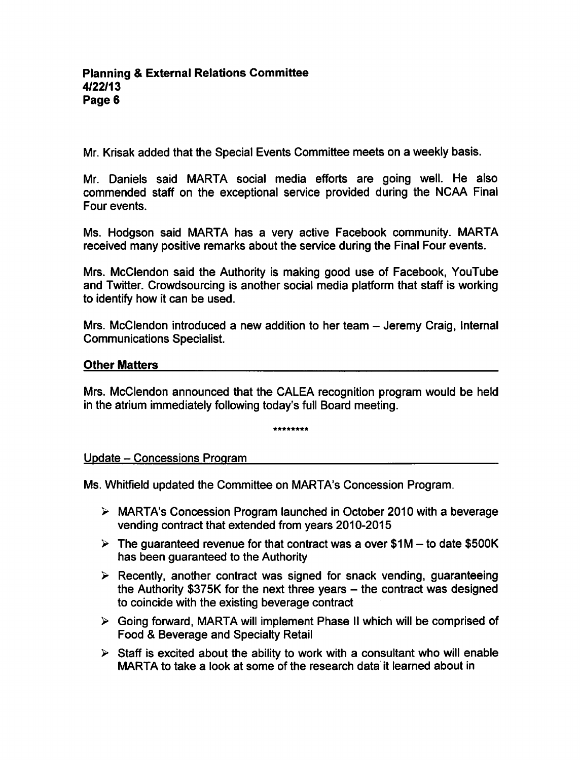Mr. Krisak added that the Special Events Committee meets on a weekly basis.

Mr. Daniels said MARTA social media efforts are going well. He also commended staff on the exceptional service provided during the NCAA Final Four events.

Ms. Hodgson said MARTA has a very active Facebook community. MARTA received many positive remarks about the service during the Final Four events.

Mrs. McClendon said the Authority is making good use of Facebook, YouTube and Twitter. Crowdsourcing is another social media platform that staff is working to identify how it can be used.

Mrs. McClendon introduced a new addition to her team – Jeremy Craig, Internal Communications Specialist.

# Other Matters

Mrs. McClendon announced that the CALEA recognition program would be held in the atrium immediately following today's full Board meeting.

\*\*\*\*\*\*\*\*

Update - Concessions Program

Ms. Whitfield updated the Committee on MARTA's Concession Program.

- $\triangleright$  MARTA's Concession Program launched in October 2010 with a beverage vending contract that extended from years 2010-2015
- $\triangleright$  The guaranteed revenue for that contract was a over \$1M to date \$500K has been guaranteed to the Authority
- $\triangleright$  Recently, another contract was signed for snack vending, guaranteeing the Authority \$375K for the next three years  $-$  the contract was designed to coincide with the existing beverage contract
- Going forward, MARTA will implement Phase II which will be comprised of Food & Beverage and Specialty Retail
- $\triangleright$  Staff is excited about the ability to work with a consultant who will enable MARTA to take a look at some of the research data it learned about in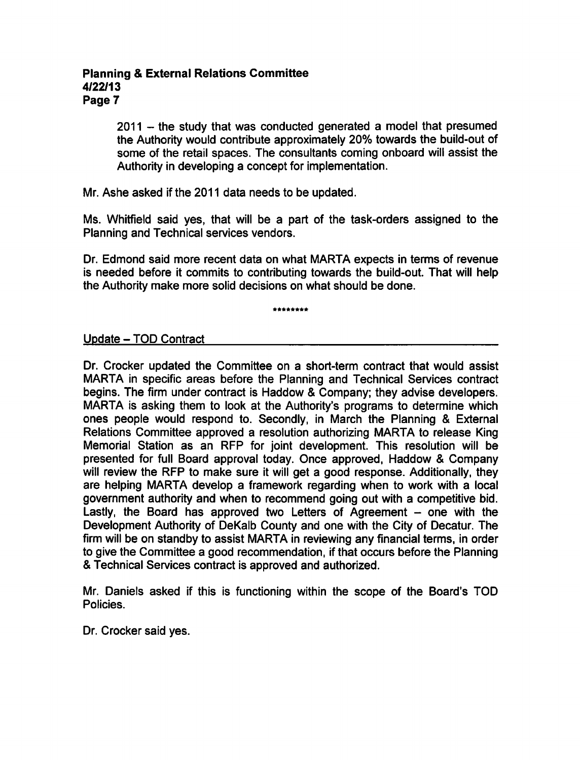## Planning External Relations Committee 4/22/13 Page 7

 $2011 -$  the study that was conducted generated a model that presumed the Authority would contribute approximately 20% towards the build-out of some of the retail spaces. The consultants coming onboard will assist the Authority in developing a concept for implementation.

Mr. Ashe asked if the 2011 data needs to be updated.

Ms. Whitfield said yes, that will be a part of the task-orders assigned to the Planning and Technical services vendors.

Dr. Edmond said more recent data on what MARTA expects in terms of revenue is needed before it commits to contributing towards the build-out. That will help the Authority make more solid decisions on what should be done.

••\*••\*\*•

### Update - TOD Contract

Dr. Crocker updated the Committee on a short-term contract that would assist MARTA in specific areas before the Planning and Technical Services contract begins. The firm under contract is Haddow & Company; they advise developers. MARTA is asking them to look at the Authority's programs to determine which ones people would respond to. Secondly, in March the Planning & External Relations Committee approved a resolution authorizing MARTA to release King Memorial Station as an RFP for joint development. This resolution will be presented for full Board approval today. Once approved, Haddow & Company will review the RFP to make sure it will get a good response. Additionally, they are helping MARTA develop a framework regarding when to work with a local government authority and when to recommend going out with a competitive bid. Lastly, the Board has approved two Letters of Agreement  $-$  one with the Development Authority of DeKalb County and one with the City of Decatur. The firm will be on standby to assist MARTA in reviewing any financial terms, in order to give the Committee a good recommendation, if that occurs before the Planning Technical Services contract is approved and authorized.

Mr. Daniels asked if this is functioning within the scope of the Board's TOD Policies.

Dr. Crocker said yes.